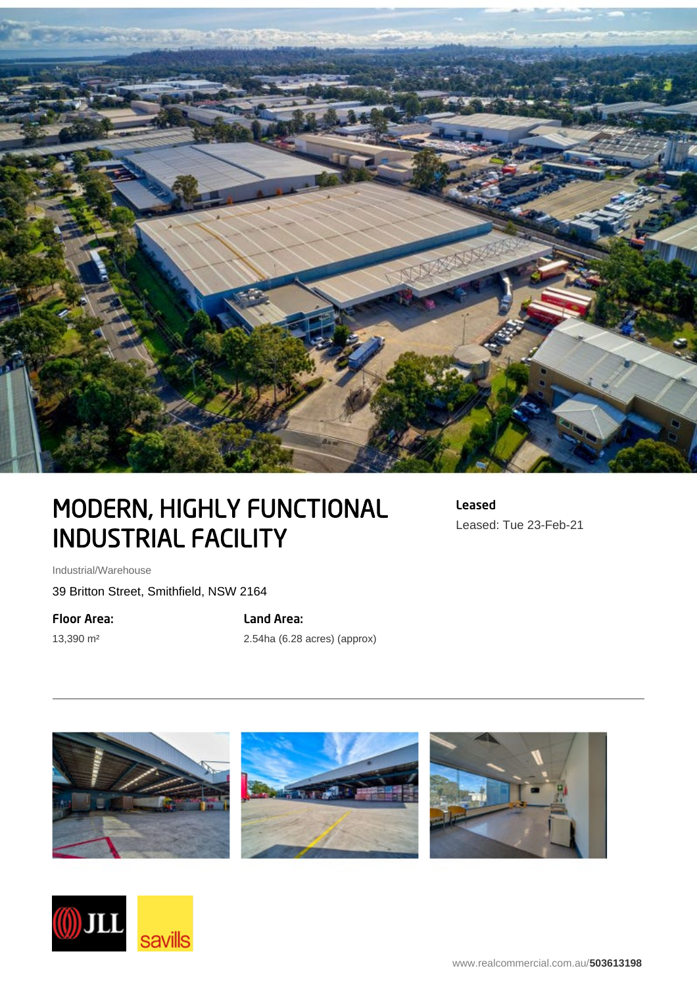

## MODERN, HIGHLY FUNCTIONAL INDUSTRIAL FACILITY

Leased Leased: Tue 23-Feb-21

Industrial/Warehouse

39 Britton Street, Smithfield, NSW 2164

Floor Area:

13,390 m²

Land Area:

2.54ha (6.28 acres) (approx)